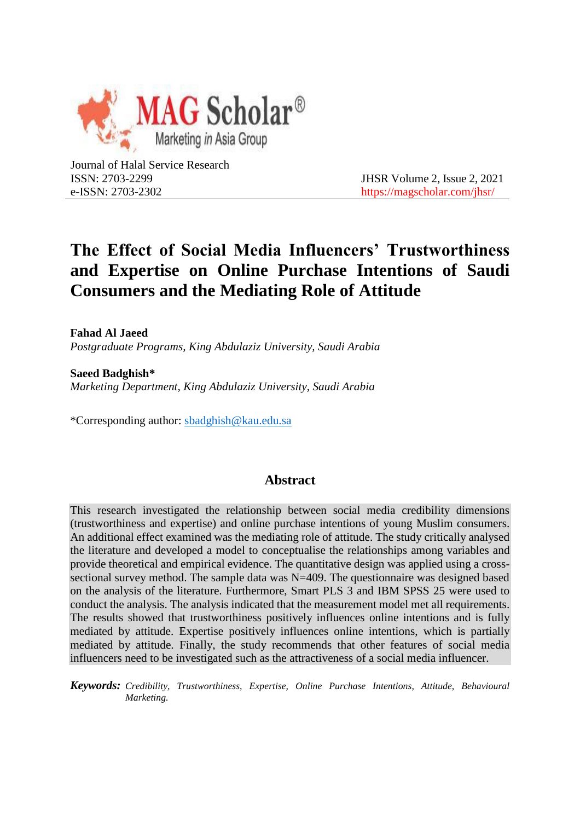

Journal of Halal Service Research ISSN: 2703-2299 e-ISSN: 2703-2302

 JHSR Volume 2, Issue 2, 2021 https://magscholar.com/jhsr/

# **The Effect of Social Media Influencers' Trustworthiness and Expertise on Online Purchase Intentions of Saudi Consumers and the Mediating Role of Attitude**

**Fahad Al Jaeed** *Postgraduate Programs, King Abdulaziz University, Saudi Arabia*

**Saeed Badghish\*** *Marketing Department, King Abdulaziz University, Saudi Arabia*

\*Corresponding author: sbadghish@kau.edu.sa

# **Abstract**

This research investigated the relationship between social media credibility dimensions (trustworthiness and expertise) and online purchase intentions of young Muslim consumers. An additional effect examined was the mediating role of attitude. The study critically analysed the literature and developed a model to conceptualise the relationships among variables and provide theoretical and empirical evidence. The quantitative design was applied using a crosssectional survey method. The sample data was N=409. The questionnaire was designed based on the analysis of the literature. Furthermore, Smart PLS 3 and IBM SPSS 25 were used to conduct the analysis. The analysis indicated that the measurement model met all requirements. The results showed that trustworthiness positively influences online intentions and is fully mediated by attitude. Expertise positively influences online intentions, which is partially mediated by attitude. Finally, the study recommends that other features of social media influencers need to be investigated such as the attractiveness of a social media influencer.

*Keywords: Credibility, Trustworthiness, Expertise, Online Purchase Intentions, Attitude, Behavioural Marketing.*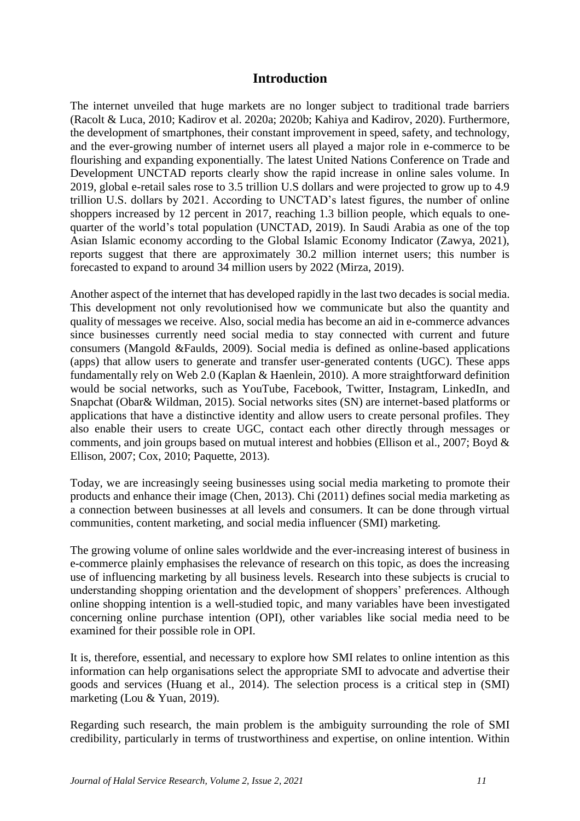# **Introduction**

The internet unveiled that huge markets are no longer subject to traditional trade barriers (Racolt & Luca, 2010; Kadirov et al. 2020a; 2020b; Kahiya and Kadirov, 2020). Furthermore, the development of smartphones, their constant improvement in speed, safety, and technology, and the ever-growing number of internet users all played a major role in e-commerce to be flourishing and expanding exponentially. The latest United Nations Conference on Trade and Development UNCTAD reports clearly show the rapid increase in online sales volume. In 2019, global e-retail sales rose to 3.5 trillion U.S dollars and were projected to grow up to 4.9 trillion U.S. dollars by 2021. According to UNCTAD's latest figures, the number of online shoppers increased by 12 percent in 2017, reaching 1.3 billion people, which equals to onequarter of the world's total population (UNCTAD, 2019). In Saudi Arabia as one of the top Asian Islamic economy according to the Global Islamic Economy Indicator (Zawya, 2021), reports suggest that there are approximately 30.2 million internet users; this number is forecasted to expand to around 34 million users by 2022 (Mirza, 2019).

Another aspect of the internet that has developed rapidly in the last two decades is social media. This development not only revolutionised how we communicate but also the quantity and quality of messages we receive. Also, social media has become an aid in e-commerce advances since businesses currently need social media to stay connected with current and future consumers (Mangold &Faulds, 2009). Social media is defined as online-based applications (apps) that allow users to generate and transfer user-generated contents (UGC). These apps fundamentally rely on Web 2.0 (Kaplan & Haenlein, 2010). A more straightforward definition would be social networks, such as YouTube, Facebook, Twitter, Instagram, LinkedIn, and Snapchat (Obar& Wildman, 2015). Social networks sites (SN) are internet-based platforms or applications that have a distinctive identity and allow users to create personal profiles. They also enable their users to create UGC, contact each other directly through messages or comments, and join groups based on mutual interest and hobbies (Ellison et al., 2007; Boyd & Ellison, 2007; Cox, 2010; Paquette, 2013).

Today, we are increasingly seeing businesses using social media marketing to promote their products and enhance their image (Chen, 2013). Chi (2011) defines social media marketing as a connection between businesses at all levels and consumers. It can be done through virtual communities, content marketing, and social media influencer (SMI) marketing.

The growing volume of online sales worldwide and the ever-increasing interest of business in e-commerce plainly emphasises the relevance of research on this topic, as does the increasing use of influencing marketing by all business levels. Research into these subjects is crucial to understanding shopping orientation and the development of shoppers' preferences. Although online shopping intention is a well-studied topic, and many variables have been investigated concerning online purchase intention (OPI), other variables like social media need to be examined for their possible role in OPI.

It is, therefore, essential, and necessary to explore how SMI relates to online intention as this information can help organisations select the appropriate SMI to advocate and advertise their goods and services (Huang et al., 2014). The selection process is a critical step in (SMI) marketing (Lou & Yuan, 2019).

Regarding such research, the main problem is the ambiguity surrounding the role of SMI credibility, particularly in terms of trustworthiness and expertise, on online intention. Within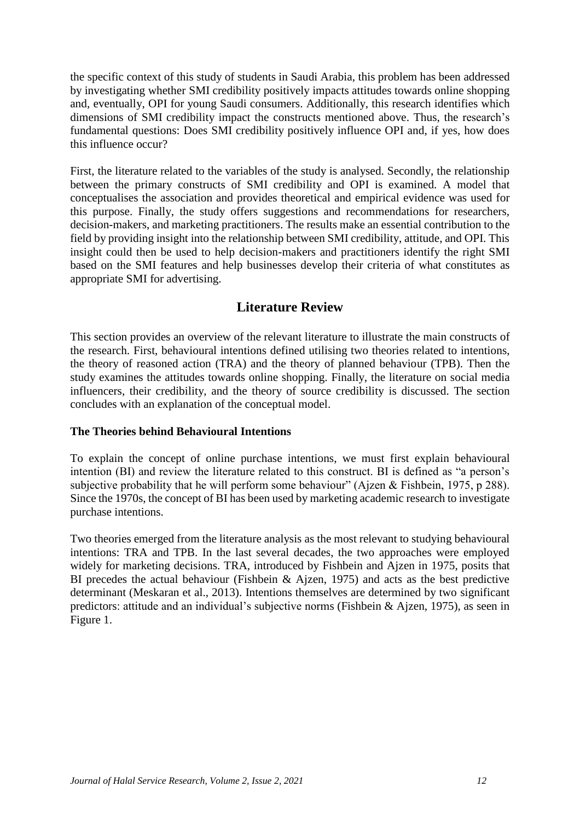the specific context of this study of students in Saudi Arabia, this problem has been addressed by investigating whether SMI credibility positively impacts attitudes towards online shopping and, eventually, OPI for young Saudi consumers. Additionally, this research identifies which dimensions of SMI credibility impact the constructs mentioned above. Thus, the research's fundamental questions: Does SMI credibility positively influence OPI and, if yes, how does this influence occur?

First, the literature related to the variables of the study is analysed. Secondly, the relationship between the primary constructs of SMI credibility and OPI is examined. A model that conceptualises the association and provides theoretical and empirical evidence was used for this purpose. Finally, the study offers suggestions and recommendations for researchers, decision-makers, and marketing practitioners. The results make an essential contribution to the field by providing insight into the relationship between SMI credibility, attitude, and OPI. This insight could then be used to help decision-makers and practitioners identify the right SMI based on the SMI features and help businesses develop their criteria of what constitutes as appropriate SMI for advertising.

# **Literature Review**

This section provides an overview of the relevant literature to illustrate the main constructs of the research. First, behavioural intentions defined utilising two theories related to intentions, the theory of reasoned action (TRA) and the theory of planned behaviour (TPB). Then the study examines the attitudes towards online shopping. Finally, the literature on social media influencers, their credibility, and the theory of source credibility is discussed. The section concludes with an explanation of the conceptual model.

# **The Theories behind Behavioural Intentions**

To explain the concept of online purchase intentions, we must first explain behavioural intention (BI) and review the literature related to this construct. BI is defined as "a person's subjective probability that he will perform some behaviour" (Ajzen & Fishbein, 1975, p 288). Since the 1970s, the concept of BI has been used by marketing academic research to investigate purchase intentions.

Two theories emerged from the literature analysis as the most relevant to studying behavioural intentions: TRA and TPB. In the last several decades, the two approaches were employed widely for marketing decisions. TRA, introduced by Fishbein and Ajzen in 1975, posits that BI precedes the actual behaviour (Fishbein & Ajzen, 1975) and acts as the best predictive determinant (Meskaran et al., 2013). Intentions themselves are determined by two significant predictors: attitude and an individual's subjective norms (Fishbein & Ajzen, 1975), as seen in Figure 1.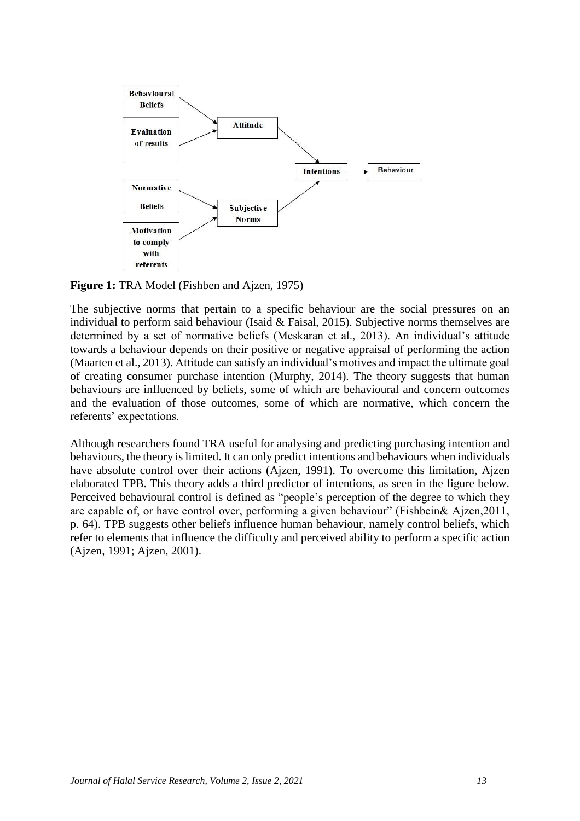

**Figure 1:** TRA Model (Fishben and Ajzen, 1975)

The subjective norms that pertain to a specific behaviour are the social pressures on an individual to perform said behaviour (Isaid & Faisal, 2015). Subjective norms themselves are determined by a set of normative beliefs (Meskaran et al., 2013). An individual's attitude towards a behaviour depends on their positive or negative appraisal of performing the action (Maarten et al., 2013). Attitude can satisfy an individual's motives and impact the ultimate goal of creating consumer purchase intention (Murphy, 2014). The theory suggests that human behaviours are influenced by beliefs, some of which are behavioural and concern outcomes and the evaluation of those outcomes, some of which are normative, which concern the referents' expectations.

Although researchers found TRA useful for analysing and predicting purchasing intention and behaviours, the theory is limited. It can only predict intentions and behaviours when individuals have absolute control over their actions (Ajzen, 1991). To overcome this limitation, Ajzen elaborated TPB. This theory adds a third predictor of intentions, as seen in the figure below. Perceived behavioural control is defined as "people's perception of the degree to which they are capable of, or have control over, performing a given behaviour" (Fishbein& Ajzen,2011, p. 64). TPB suggests other beliefs influence human behaviour, namely control beliefs, which refer to elements that influence the difficulty and perceived ability to perform a specific action (Ajzen, 1991; Ajzen, 2001).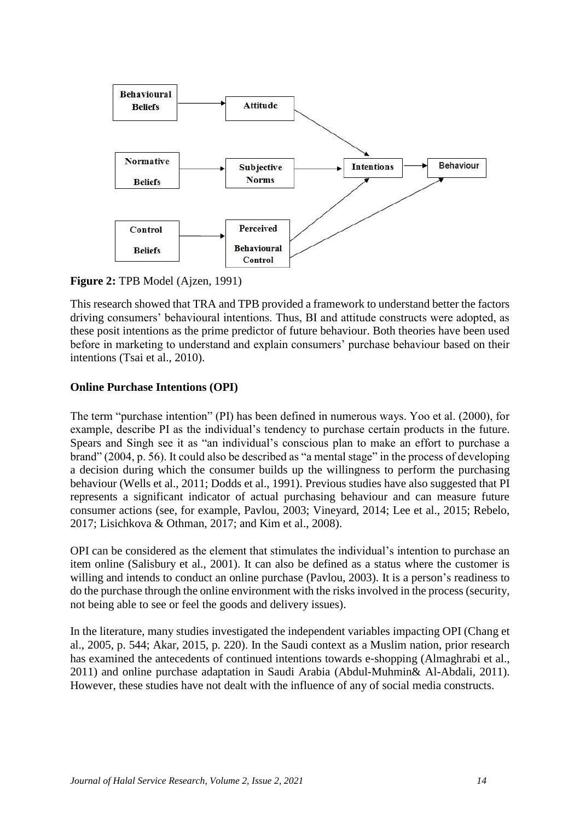

#### **Figure 2:** TPB Model (Ajzen, 1991)

This research showed that TRA and TPB provided a framework to understand better the factors driving consumers' behavioural intentions. Thus, BI and attitude constructs were adopted, as these posit intentions as the prime predictor of future behaviour. Both theories have been used before in marketing to understand and explain consumers' purchase behaviour based on their intentions (Tsai et al., 2010).

#### **Online Purchase Intentions (OPI)**

The term "purchase intention" (PI) has been defined in numerous ways. Yoo et al. (2000), for example, describe PI as the individual's tendency to purchase certain products in the future. Spears and Singh see it as "an individual's conscious plan to make an effort to purchase a brand" (2004, p. 56). It could also be described as "a mental stage" in the process of developing a decision during which the consumer builds up the willingness to perform the purchasing behaviour (Wells et al., 2011; Dodds et al., 1991). Previous studies have also suggested that PI represents a significant indicator of actual purchasing behaviour and can measure future consumer actions (see, for example, Pavlou, 2003; Vineyard, 2014; Lee et al., 2015; Rebelo, 2017; Lisichkova & Othman, 2017; and Kim et al., 2008).

OPI can be considered as the element that stimulates the individual's intention to purchase an item online (Salisbury et al., 2001). It can also be defined as a status where the customer is willing and intends to conduct an online purchase (Pavlou, 2003). It is a person's readiness to do the purchase through the online environment with the risks involved in the process (security, not being able to see or feel the goods and delivery issues).

In the literature, many studies investigated the independent variables impacting OPI (Chang et al., 2005, p. 544; Akar, 2015, p. 220). In the Saudi context as a Muslim nation, prior research has examined the antecedents of continued intentions towards e-shopping (Almaghrabi et al., 2011) and online purchase adaptation in Saudi Arabia (Abdul-Muhmin& Al-Abdali, 2011). However, these studies have not dealt with the influence of any of social media constructs.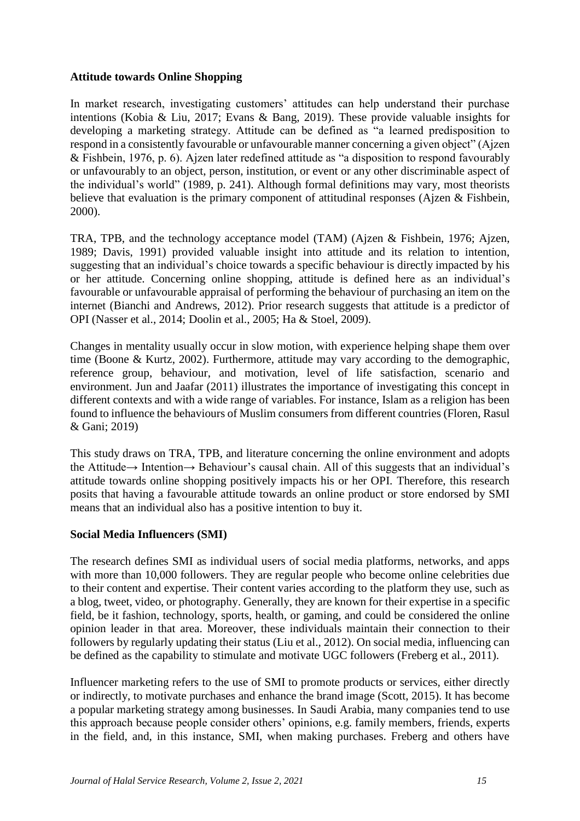#### **Attitude towards Online Shopping**

In market research, investigating customers' attitudes can help understand their purchase intentions (Kobia & Liu, 2017; Evans & Bang, 2019). These provide valuable insights for developing a marketing strategy. Attitude can be defined as "a learned predisposition to respond in a consistently favourable or unfavourable manner concerning a given object" (Ajzen & Fishbein, 1976, p. 6). Ajzen later redefined attitude as "a disposition to respond favourably or unfavourably to an object, person, institution, or event or any other discriminable aspect of the individual's world" (1989, p. 241). Although formal definitions may vary, most theorists believe that evaluation is the primary component of attitudinal responses (Ajzen & Fishbein, 2000).

TRA, TPB, and the technology acceptance model (TAM) (Ajzen & Fishbein, 1976; Ajzen, 1989; Davis, 1991) provided valuable insight into attitude and its relation to intention, suggesting that an individual's choice towards a specific behaviour is directly impacted by his or her attitude. Concerning online shopping, attitude is defined here as an individual's favourable or unfavourable appraisal of performing the behaviour of purchasing an item on the internet (Bianchi and Andrews, 2012). Prior research suggests that attitude is a predictor of OPI (Nasser et al., 2014; Doolin et al., 2005; Ha & Stoel, 2009).

Changes in mentality usually occur in slow motion, with experience helping shape them over time (Boone & Kurtz, 2002). Furthermore, attitude may vary according to the demographic, reference group, behaviour, and motivation, level of life satisfaction, scenario and environment. Jun and Jaafar (2011) illustrates the importance of investigating this concept in different contexts and with a wide range of variables. For instance, Islam as a religion has been found to influence the behaviours of Muslim consumers from different countries (Floren, Rasul & Gani; 2019)

This study draws on TRA, TPB, and literature concerning the online environment and adopts the Attitude→ Intention→ Behaviour's causal chain. All of this suggests that an individual's attitude towards online shopping positively impacts his or her OPI. Therefore, this research posits that having a favourable attitude towards an online product or store endorsed by SMI means that an individual also has a positive intention to buy it.

#### **Social Media Influencers (SMI)**

The research defines SMI as individual users of social media platforms, networks, and apps with more than 10,000 followers. They are regular people who become online celebrities due to their content and expertise. Their content varies according to the platform they use, such as a blog, tweet, video, or photography. Generally, they are known for their expertise in a specific field, be it fashion, technology, sports, health, or gaming, and could be considered the online opinion leader in that area. Moreover, these individuals maintain their connection to their followers by regularly updating their status (Liu et al., 2012). On social media, influencing can be defined as the capability to stimulate and motivate UGC followers (Freberg et al., 2011).

Influencer marketing refers to the use of SMI to promote products or services, either directly or indirectly, to motivate purchases and enhance the brand image (Scott, 2015). It has become a popular marketing strategy among businesses. In Saudi Arabia, many companies tend to use this approach because people consider others' opinions, e.g. family members, friends, experts in the field, and, in this instance, SMI, when making purchases. Freberg and others have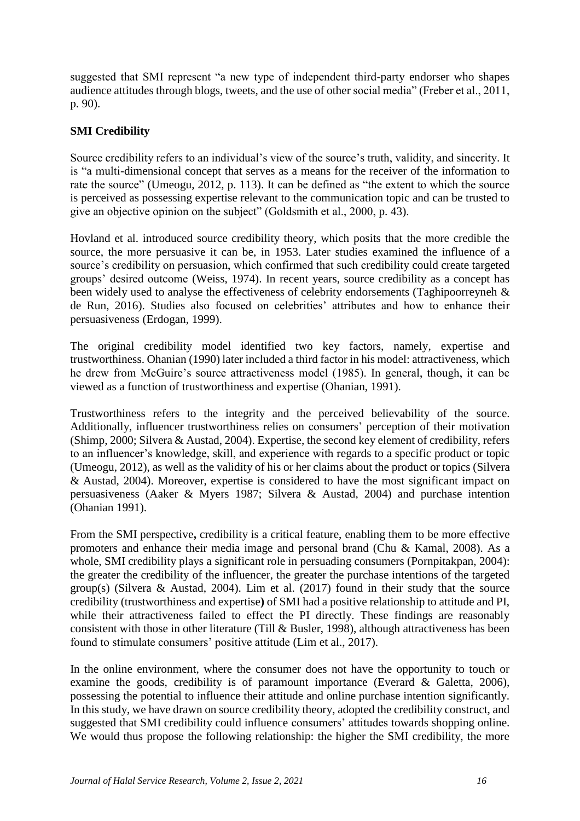suggested that SMI represent "a new type of independent third-party endorser who shapes audience attitudes through blogs, tweets, and the use of other social media" (Freber et al., 2011, p. 90).

# **SMI Credibility**

Source credibility refers to an individual's view of the source's truth, validity, and sincerity. It is "a multi-dimensional concept that serves as a means for the receiver of the information to rate the source" (Umeogu, 2012, p. 113). It can be defined as "the extent to which the source is perceived as possessing expertise relevant to the communication topic and can be trusted to give an objective opinion on the subject" (Goldsmith et al., 2000, p. 43).

Hovland et al. introduced source credibility theory, which posits that the more credible the source, the more persuasive it can be, in 1953. Later studies examined the influence of a source's credibility on persuasion, which confirmed that such credibility could create targeted groups' desired outcome (Weiss, 1974). In recent years, source credibility as a concept has been widely used to analyse the effectiveness of celebrity endorsements (Taghipoorreyneh & de Run, 2016). Studies also focused on celebrities' attributes and how to enhance their persuasiveness (Erdogan, 1999).

The original credibility model identified two key factors, namely, expertise and trustworthiness. Ohanian (1990) later included a third factor in his model: attractiveness, which he drew from McGuire's source attractiveness model (1985). In general, though, it can be viewed as a function of trustworthiness and expertise (Ohanian, 1991).

Trustworthiness refers to the integrity and the perceived believability of the source. Additionally, influencer trustworthiness relies on consumers' perception of their motivation (Shimp, 2000; Silvera & Austad, 2004). Expertise, the second key element of credibility, refers to an influencer's knowledge, skill, and experience with regards to a specific product or topic (Umeogu, 2012), as well as the validity of his or her claims about the product or topics (Silvera & Austad, 2004). Moreover, expertise is considered to have the most significant impact on persuasiveness (Aaker & Myers 1987; Silvera & Austad, 2004) and purchase intention (Ohanian 1991).

From the SMI perspective**,** credibility is a critical feature, enabling them to be more effective promoters and enhance their media image and personal brand (Chu & Kamal, 2008). As a whole, SMI credibility plays a significant role in persuading consumers (Pornpitakpan, 2004): the greater the credibility of the influencer, the greater the purchase intentions of the targeted group(s) (Silvera & Austad, 2004). Lim et al. (2017) found in their study that the source credibility (trustworthiness and expertise**)** of SMI had a positive relationship to attitude and PI, while their attractiveness failed to effect the PI directly. These findings are reasonably consistent with those in other literature (Till & Busler, 1998), although attractiveness has been found to stimulate consumers' positive attitude (Lim et al., 2017).

In the online environment, where the consumer does not have the opportunity to touch or examine the goods, credibility is of paramount importance (Everard & Galetta, 2006), possessing the potential to influence their attitude and online purchase intention significantly. In this study, we have drawn on source credibility theory, adopted the credibility construct, and suggested that SMI credibility could influence consumers' attitudes towards shopping online. We would thus propose the following relationship: the higher the SMI credibility, the more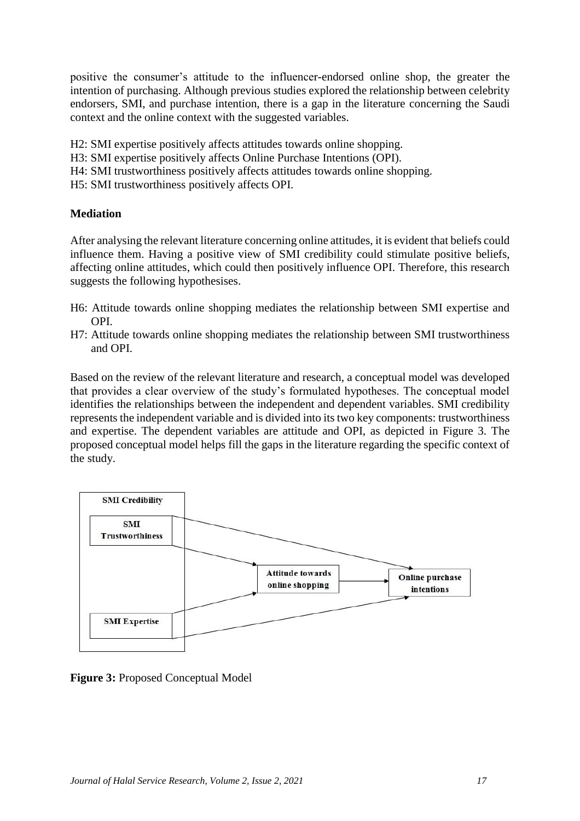positive the consumer's attitude to the influencer-endorsed online shop, the greater the intention of purchasing. Although previous studies explored the relationship between celebrity endorsers, SMI, and purchase intention, there is a gap in the literature concerning the Saudi context and the online context with the suggested variables.

- H2: SMI expertise positively affects attitudes towards online shopping.
- H3: SMI expertise positively affects Online Purchase Intentions (OPI).
- H4: SMI trustworthiness positively affects attitudes towards online shopping.
- H5: SMI trustworthiness positively affects OPI.

# **Mediation**

After analysing the relevant literature concerning online attitudes, it is evident that beliefs could influence them. Having a positive view of SMI credibility could stimulate positive beliefs, affecting online attitudes, which could then positively influence OPI. Therefore, this research suggests the following hypothesises.

- H6: Attitude towards online shopping mediates the relationship between SMI expertise and OPI.
- H7: Attitude towards online shopping mediates the relationship between SMI trustworthiness and OPI.

Based on the review of the relevant literature and research, a conceptual model was developed that provides a clear overview of the study's formulated hypotheses. The conceptual model identifies the relationships between the independent and dependent variables. SMI credibility represents the independent variable and is divided into its two key components: trustworthiness and expertise. The dependent variables are attitude and OPI, as depicted in Figure 3. The proposed conceptual model helps fill the gaps in the literature regarding the specific context of the study.



**Figure 3:** Proposed Conceptual Model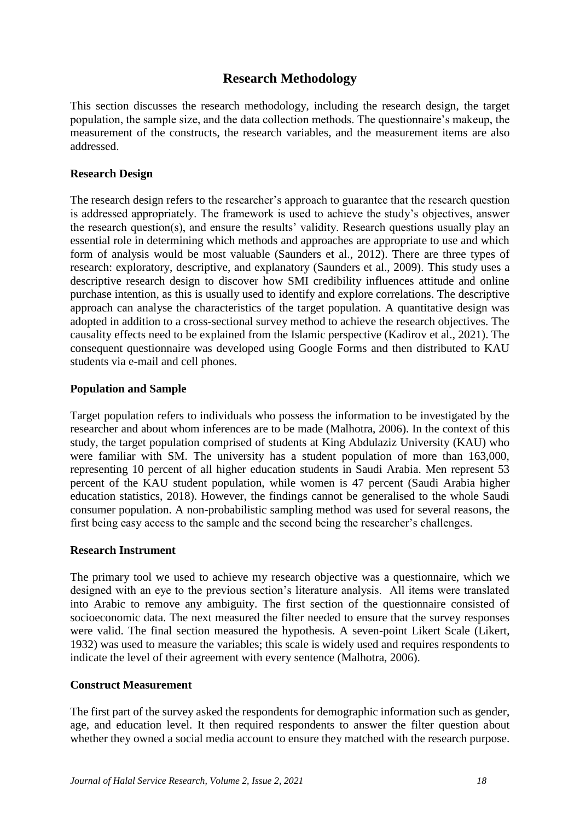# **Research Methodology**

This section discusses the research methodology, including the research design, the target population, the sample size, and the data collection methods. The questionnaire's makeup, the measurement of the constructs, the research variables, and the measurement items are also addressed.

# **Research Design**

The research design refers to the researcher's approach to guarantee that the research question is addressed appropriately. The framework is used to achieve the study's objectives, answer the research question(s), and ensure the results' validity. Research questions usually play an essential role in determining which methods and approaches are appropriate to use and which form of analysis would be most valuable (Saunders et al., 2012). There are three types of research: exploratory, descriptive, and explanatory (Saunders et al., 2009). This study uses a descriptive research design to discover how SMI credibility influences attitude and online purchase intention, as this is usually used to identify and explore correlations. The descriptive approach can analyse the characteristics of the target population. A quantitative design was adopted in addition to a cross-sectional survey method to achieve the research objectives. The causality effects need to be explained from the Islamic perspective (Kadirov et al., 2021). The consequent questionnaire was developed using Google Forms and then distributed to KAU students via e-mail and cell phones.

# **Population and Sample**

Target population refers to individuals who possess the information to be investigated by the researcher and about whom inferences are to be made (Malhotra, 2006). In the context of this study, the target population comprised of students at King Abdulaziz University (KAU) who were familiar with SM. The university has a student population of more than 163,000, representing 10 percent of all higher education students in Saudi Arabia. Men represent 53 percent of the KAU student population, while women is 47 percent (Saudi Arabia higher education statistics, 2018). However, the findings cannot be generalised to the whole Saudi consumer population. A non-probabilistic sampling method was used for several reasons, the first being easy access to the sample and the second being the researcher's challenges.

# **Research Instrument**

The primary tool we used to achieve my research objective was a questionnaire, which we designed with an eye to the previous section's literature analysis. All items were translated into Arabic to remove any ambiguity. The first section of the questionnaire consisted of socioeconomic data. The next measured the filter needed to ensure that the survey responses were valid. The final section measured the hypothesis. A seven-point Likert Scale (Likert, 1932) was used to measure the variables; this scale is widely used and requires respondents to indicate the level of their agreement with every sentence (Malhotra, 2006).

# **Construct Measurement**

The first part of the survey asked the respondents for demographic information such as gender, age, and education level. It then required respondents to answer the filter question about whether they owned a social media account to ensure they matched with the research purpose.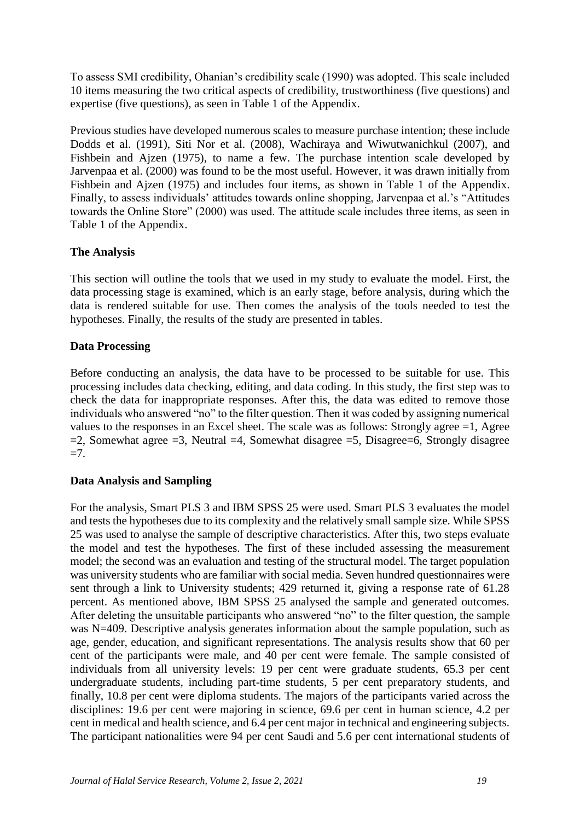To assess SMI credibility, Ohanian's credibility scale (1990) was adopted. This scale included 10 items measuring the two critical aspects of credibility, trustworthiness (five questions) and expertise (five questions), as seen in Table 1 of the Appendix.

Previous studies have developed numerous scales to measure purchase intention; these include Dodds et al. (1991), Siti Nor et al. (2008), Wachiraya and Wiwutwanichkul (2007), and Fishbein and Ajzen (1975), to name a few. The purchase intention scale developed by Jarvenpaa et al. (2000) was found to be the most useful. However, it was drawn initially from Fishbein and Ajzen (1975) and includes four items, as shown in Table 1 of the Appendix. Finally, to assess individuals' attitudes towards online shopping, Jarvenpaa et al.'s "Attitudes towards the Online Store" (2000) was used. The attitude scale includes three items, as seen in Table 1 of the Appendix.

# **The Analysis**

This section will outline the tools that we used in my study to evaluate the model. First, the data processing stage is examined, which is an early stage, before analysis, during which the data is rendered suitable for use. Then comes the analysis of the tools needed to test the hypotheses. Finally, the results of the study are presented in tables.

# **Data Processing**

Before conducting an analysis, the data have to be processed to be suitable for use. This processing includes data checking, editing, and data coding. In this study, the first step was to check the data for inappropriate responses. After this, the data was edited to remove those individuals who answered "no" to the filter question. Then it was coded by assigning numerical values to the responses in an Excel sheet. The scale was as follows: Strongly agree =1, Agree  $=$ 2, Somewhat agree  $=$ 3, Neutral  $=$ 4, Somewhat disagree  $=$ 5, Disagree $=$ 6, Strongly disagree  $=7.$ 

# **Data Analysis and Sampling**

For the analysis, Smart PLS 3 and IBM SPSS 25 were used. Smart PLS 3 evaluates the model and tests the hypotheses due to its complexity and the relatively small sample size. While SPSS 25 was used to analyse the sample of descriptive characteristics. After this, two steps evaluate the model and test the hypotheses. The first of these included assessing the measurement model; the second was an evaluation and testing of the structural model. The target population was university students who are familiar with social media. Seven hundred questionnaires were sent through a link to University students; 429 returned it, giving a response rate of 61.28 percent. As mentioned above, IBM SPSS 25 analysed the sample and generated outcomes. After deleting the unsuitable participants who answered "no" to the filter question, the sample was N=409. Descriptive analysis generates information about the sample population, such as age, gender, education, and significant representations. The analysis results show that 60 per cent of the participants were male, and 40 per cent were female. The sample consisted of individuals from all university levels: 19 per cent were graduate students, 65.3 per cent undergraduate students, including part-time students, 5 per cent preparatory students, and finally, 10.8 per cent were diploma students. The majors of the participants varied across the disciplines: 19.6 per cent were majoring in science, 69.6 per cent in human science, 4.2 per cent in medical and health science, and 6.4 per cent major in technical and engineering subjects. The participant nationalities were 94 per cent Saudi and 5.6 per cent international students of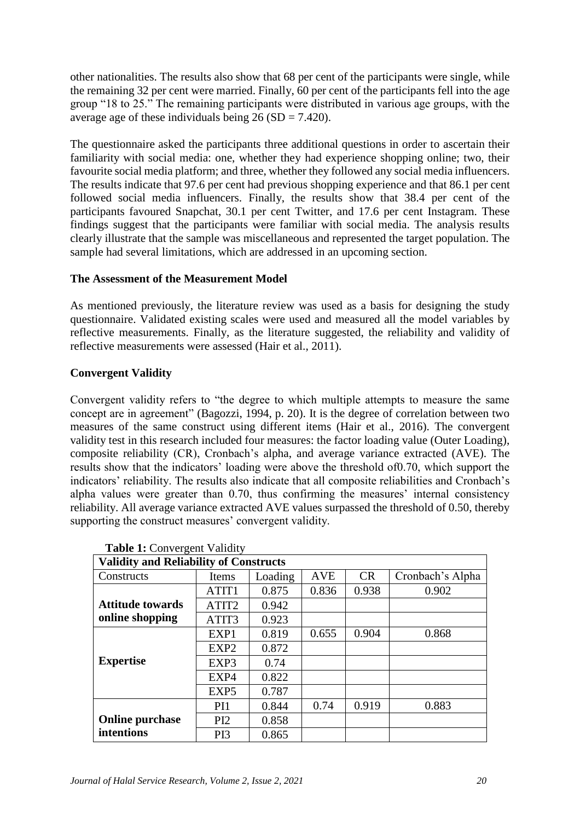other nationalities. The results also show that 68 per cent of the participants were single, while the remaining 32 per cent were married. Finally, 60 per cent of the participants fell into the age group "18 to 25." The remaining participants were distributed in various age groups, with the average age of these individuals being  $26 (SD = 7.420)$ .

The questionnaire asked the participants three additional questions in order to ascertain their familiarity with social media: one, whether they had experience shopping online; two, their favourite social media platform; and three, whether they followed any social media influencers. The results indicate that 97.6 per cent had previous shopping experience and that 86.1 per cent followed social media influencers. Finally, the results show that 38.4 per cent of the participants favoured Snapchat, 30.1 per cent Twitter, and 17.6 per cent Instagram. These findings suggest that the participants were familiar with social media. The analysis results clearly illustrate that the sample was miscellaneous and represented the target population. The sample had several limitations, which are addressed in an upcoming section.

# **The Assessment of the Measurement Model**

As mentioned previously, the literature review was used as a basis for designing the study questionnaire. Validated existing scales were used and measured all the model variables by reflective measurements. Finally, as the literature suggested, the reliability and validity of reflective measurements were assessed (Hair et al., 2011).

# **Convergent Validity**

Convergent validity refers to "the degree to which multiple attempts to measure the same concept are in agreement" (Bagozzi, 1994, p. 20). It is the degree of correlation between two measures of the same construct using different items (Hair et al., 2016). The convergent validity test in this research included four measures: the factor loading value (Outer Loading), composite reliability (CR), Cronbach's alpha, and average variance extracted (AVE). The results show that the indicators' loading were above the threshold of0.70, which support the indicators' reliability. The results also indicate that all composite reliabilities and Cronbach's alpha values were greater than 0.70, thus confirming the measures' internal consistency reliability. All average variance extracted AVE values surpassed the threshold of 0.50, thereby supporting the construct measures' convergent validity.

| <b>Validity and Reliability of Constructs</b> |                  |         |            |       |                  |  |  |
|-----------------------------------------------|------------------|---------|------------|-------|------------------|--|--|
| Constructs                                    | Items            | Loading | <b>AVE</b> | CR    | Cronbach's Alpha |  |  |
|                                               | ATIT1            | 0.875   | 0.836      | 0.938 | 0.902            |  |  |
| <b>Attitude towards</b>                       | ATIT2            | 0.942   |            |       |                  |  |  |
| online shopping                               | ATIT3            | 0.923   |            |       |                  |  |  |
|                                               | EXP1             | 0.819   | 0.655      | 0.904 | 0.868            |  |  |
|                                               | EXP2             | 0.872   |            |       |                  |  |  |
| <b>Expertise</b>                              | EXP3             | 0.74    |            |       |                  |  |  |
|                                               | EXP4             | 0.822   |            |       |                  |  |  |
|                                               | EXP <sub>5</sub> | 0.787   |            |       |                  |  |  |
|                                               | PI <sub>1</sub>  | 0.844   | 0.74       | 0.919 | 0.883            |  |  |
| <b>Online purchase</b>                        | PI2              | 0.858   |            |       |                  |  |  |
| intentions                                    | PI3              | 0.865   |            |       |                  |  |  |

**Table 1:** Convergent Validity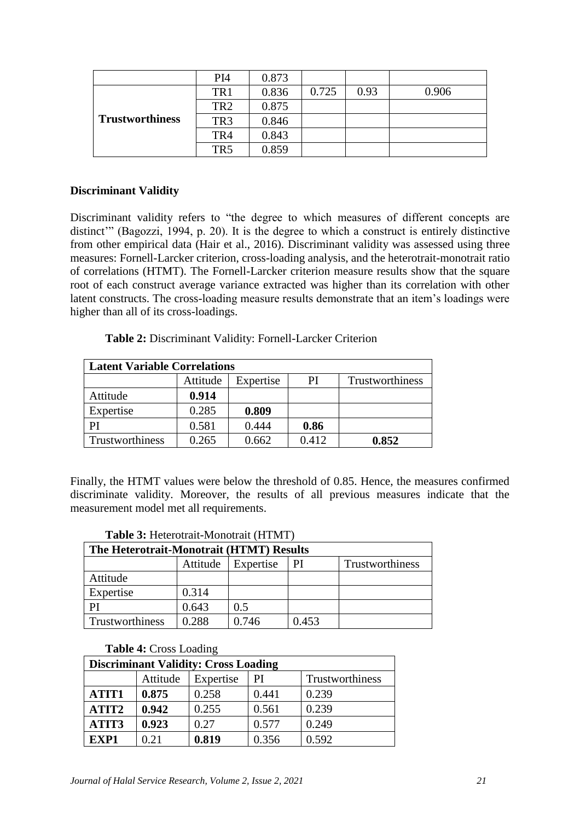|                        | PI <sub>4</sub> | 0.873 |       |      |       |
|------------------------|-----------------|-------|-------|------|-------|
| <b>Trustworthiness</b> | TR <sub>1</sub> | 0.836 | 0.725 | 0.93 | 0.906 |
|                        | TR <sub>2</sub> | 0.875 |       |      |       |
|                        | TR <sub>3</sub> | 0.846 |       |      |       |
|                        | TR4             | 0.843 |       |      |       |
|                        | TR <sub>5</sub> | 0.859 |       |      |       |

#### **Discriminant Validity**

Discriminant validity refers to "the degree to which measures of different concepts are distinct" (Bagozzi, 1994, p. 20). It is the degree to which a construct is entirely distinctive from other empirical data (Hair et al., 2016). Discriminant validity was assessed using three measures: Fornell-Larcker criterion, cross-loading analysis, and the heterotrait-monotrait ratio of correlations (HTMT). The Fornell-Larcker criterion measure results show that the square root of each construct average variance extracted was higher than its correlation with other latent constructs. The cross-loading measure results demonstrate that an item's loadings were higher than all of its cross-loadings.

**Table 2:** Discriminant Validity: Fornell-Larcker Criterion

| <b>Latent Variable Correlations</b> |                 |       |       |       |  |  |  |
|-------------------------------------|-----------------|-------|-------|-------|--|--|--|
|                                     | Trustworthiness |       |       |       |  |  |  |
| Attitude                            | 0.914           |       |       |       |  |  |  |
| Expertise                           | 0.285           | 0.809 |       |       |  |  |  |
| PI                                  | 0.581           | 0.444 | 0.86  |       |  |  |  |
| Trustworthiness                     | 0.265           | 0.662 | 0.412 | 0.852 |  |  |  |

Finally, the HTMT values were below the threshold of 0.85. Hence, the measures confirmed discriminate validity. Moreover, the results of all previous measures indicate that the measurement model met all requirements.

| <b>Tuble of Heighbirdhe Infollotium (11111111</b> ) |       |       |       |  |  |  |  |  |
|-----------------------------------------------------|-------|-------|-------|--|--|--|--|--|
| The Heterotrait-Monotrait (HTMT) Results            |       |       |       |  |  |  |  |  |
| Trustworthiness<br>Attitude<br>Expertise<br>PI      |       |       |       |  |  |  |  |  |
| Attitude                                            |       |       |       |  |  |  |  |  |
| Expertise                                           | 0.314 |       |       |  |  |  |  |  |
|                                                     | 0.643 | 0.5   |       |  |  |  |  |  |
| Trustworthiness                                     | 0.288 | 0.746 | 0.453 |  |  |  |  |  |

#### **Table 3:** Heterotrait-Monotrait (HTMT)

#### **Table 4:** Cross Loading

| <b>Discriminant Validity: Cross Loading</b>    |       |       |       |       |  |  |  |
|------------------------------------------------|-------|-------|-------|-------|--|--|--|
| Attitude<br>Trustworthiness<br>Expertise<br>PI |       |       |       |       |  |  |  |
| ATIT1                                          | 0.875 | 0.258 | 0.441 | 0.239 |  |  |  |
| ATIT2                                          | 0.942 | 0.255 | 0.561 | 0.239 |  |  |  |
| ATIT3                                          | 0.923 | 0.27  | 0.577 | 0.249 |  |  |  |
| EXP1                                           | 0.21  | 0.819 | 0.356 | 0.592 |  |  |  |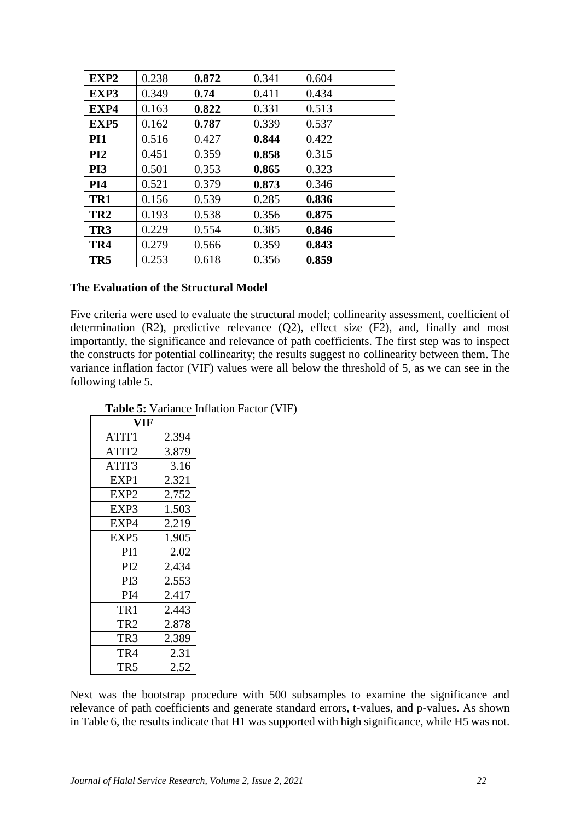| EXP2            | 0.238 | 0.872 | 0.341 | 0.604 |
|-----------------|-------|-------|-------|-------|
| EXP3            | 0.349 | 0.74  | 0.411 | 0.434 |
| EXP4            | 0.163 | 0.822 | 0.331 | 0.513 |
| EXP5            | 0.162 | 0.787 | 0.339 | 0.537 |
| PI <sub>1</sub> | 0.516 | 0.427 | 0.844 | 0.422 |
| PI <sub>2</sub> | 0.451 | 0.359 | 0.858 | 0.315 |
| PI3             | 0.501 | 0.353 | 0.865 | 0.323 |
| PI <sub>4</sub> | 0.521 | 0.379 | 0.873 | 0.346 |
| TR1             | 0.156 | 0.539 | 0.285 | 0.836 |
| TR <sub>2</sub> | 0.193 | 0.538 | 0.356 | 0.875 |
| TR <sub>3</sub> | 0.229 | 0.554 | 0.385 | 0.846 |
| TR4             | 0.279 | 0.566 | 0.359 | 0.843 |
| TR <sub>5</sub> | 0.253 | 0.618 | 0.356 | 0.859 |

#### **The Evaluation of the Structural Model**

Five criteria were used to evaluate the structural model; collinearity assessment, coefficient of determination (R2), predictive relevance (Q2), effect size (F2), and, finally and most importantly, the significance and relevance of path coefficients. The first step was to inspect the constructs for potential collinearity; the results suggest no collinearity between them. The variance inflation factor (VIF) values were all below the threshold of 5, as we can see in the following table 5.

| IF                |       |  |  |  |
|-------------------|-------|--|--|--|
| ATIT <sub>1</sub> | 2.394 |  |  |  |
| ATIT2             | 3.879 |  |  |  |
| ATIT3             | 3.16  |  |  |  |
| EXP1              | 2.321 |  |  |  |
| EXP2              | 2.752 |  |  |  |
| EXP3              | 1.503 |  |  |  |
| EXP4              | 2.219 |  |  |  |
| EXP <sub>5</sub>  | 1.905 |  |  |  |
| PI1               | 2.02  |  |  |  |
| PI2               | 2.434 |  |  |  |
| PI3               | 2.553 |  |  |  |
| PI <sub>4</sub>   | 2.417 |  |  |  |
| TR1               | 2.443 |  |  |  |
| TR2               | 2.878 |  |  |  |
| TR3               | 2.389 |  |  |  |
| TR4               | 2.31  |  |  |  |
| TR 5              | 2.52  |  |  |  |

**Table 5:** Variance Inflation Factor (VIF)

Next was the bootstrap procedure with 500 subsamples to examine the significance and relevance of path coefficients and generate standard errors, t-values, and p-values. As shown in Table 6, the results indicate that H1 was supported with high significance, while H5 was not.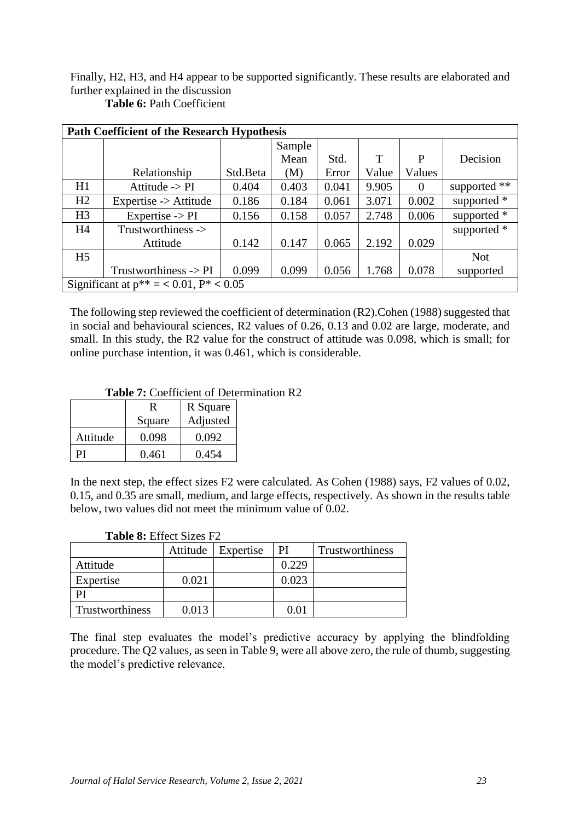Finally, H2, H3, and H4 appear to be supported significantly. These results are elaborated and further explained in the discussion

|                | <b>Path Coefficient of the Research Hypothesis</b> |          |        |       |       |          |              |  |
|----------------|----------------------------------------------------|----------|--------|-------|-------|----------|--------------|--|
|                |                                                    |          | Sample |       |       |          |              |  |
|                |                                                    |          | Mean   | Std.  | T     | P        | Decision     |  |
|                | Relationship                                       | Std.Beta | (M)    | Error | Value | Values   |              |  |
| H1             | Attitude $\rightarrow$ PI                          | 0.404    | 0.403  | 0.041 | 9.905 | $\Omega$ | supported ** |  |
| H2             | Expertise -> Attitude                              | 0.186    | 0.184  | 0.061 | 3.071 | 0.002    | supported *  |  |
| H <sub>3</sub> | Expertise $\rightarrow$ PI                         | 0.156    | 0.158  | 0.057 | 2.748 | 0.006    | supported *  |  |
| H <sub>4</sub> | Trustworthiness ->                                 |          |        |       |       |          | supported *  |  |
|                | Attitude                                           | 0.142    | 0.147  | 0.065 | 2.192 | 0.029    |              |  |
| H <sub>5</sub> |                                                    |          |        |       |       |          | <b>Not</b>   |  |
|                | Trustworthiness $\rightarrow$ PI                   | 0.099    | 0.099  | 0.056 | 1.768 | 0.078    | supported    |  |
|                | Significant at $p^{**} = 0.01$ , $P^* < 0.05$      |          |        |       |       |          |              |  |

**Table 6:** Path Coefficient

The following step reviewed the coefficient of determination (R2).Cohen (1988) suggested that in social and behavioural sciences, R2 values of 0.26, 0.13 and 0.02 are large, moderate, and small. In this study, the R2 value for the construct of attitude was 0.098, which is small; for online purchase intention, it was 0.461, which is considerable.

# **Table 7:** Coefficient of Determination R2

|          | R      | R Square |
|----------|--------|----------|
|          | Square | Adjusted |
| Attitude | 0.098  | 0.092    |
| ÞІ       | 0.461  | 0.454    |

In the next step, the effect sizes F2 were calculated. As Cohen (1988) says, F2 values of 0.02, 0.15, and 0.35 are small, medium, and large effects, respectively. As shown in the results table below, two values did not meet the minimum value of 0.02.

| <b>THUIC 0.</b> LITCOU DILCS T $\mathcal{L}$ |          |           |       |                 |  |  |  |
|----------------------------------------------|----------|-----------|-------|-----------------|--|--|--|
|                                              | Attitude | Expertise | PI    | Trustworthiness |  |  |  |
| Attitude                                     |          |           | 0.229 |                 |  |  |  |
| Expertise                                    | 0.021    |           | 0.023 |                 |  |  |  |
|                                              |          |           |       |                 |  |  |  |
| Trustworthiness                              | 0.013    |           |       |                 |  |  |  |

#### **Table 8:** Effect Sizes F2

The final step evaluates the model's predictive accuracy by applying the blindfolding procedure. The Q2 values, as seen in Table 9, were all above zero, the rule of thumb, suggesting the model's predictive relevance.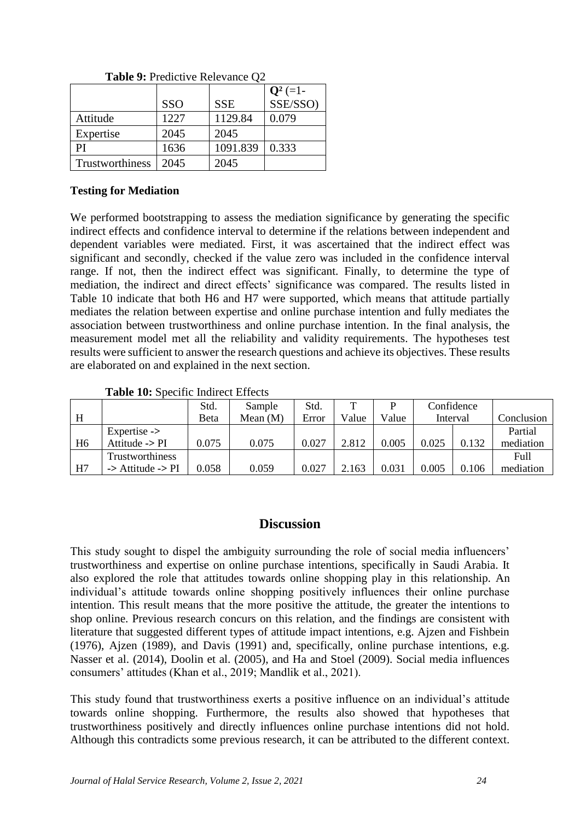|                 |            |            | $Q^2$ (=1- |
|-----------------|------------|------------|------------|
|                 | <b>SSO</b> | <b>SSE</b> | SSE/SSO)   |
| Attitude        | 1227       | 1129.84    | 0.079      |
| Expertise       | 2045       | 2045       |            |
| PI              | 1636       | 1091.839   | 0.333      |
| Trustworthiness | 2045       | 2045       |            |

Table 9: Predictive Relevance O<sub>2</sub>

# **Testing for Mediation**

We performed bootstrapping to assess the mediation significance by generating the specific indirect effects and confidence interval to determine if the relations between independent and dependent variables were mediated. First, it was ascertained that the indirect effect was significant and secondly, checked if the value zero was included in the confidence interval range. If not, then the indirect effect was significant. Finally, to determine the type of mediation, the indirect and direct effects' significance was compared. The results listed in Table 10 indicate that both H6 and H7 were supported, which means that attitude partially mediates the relation between expertise and online purchase intention and fully mediates the association between trustworthiness and online purchase intention. In the final analysis, the measurement model met all the reliability and validity requirements. The hypotheses test results were sufficient to answer the research questions and achieve its objectives. These results are elaborated on and explained in the next section.

#### **Table 10:** Specific Indirect Effects

|                |                                         | Std.  | Sample     | Std.  | ௱     |       |       | Confidence |            |
|----------------|-----------------------------------------|-------|------------|-------|-------|-------|-------|------------|------------|
| H              |                                         | Beta  | Mean $(M)$ | Error | Value | Value |       | Interval   | Conclusion |
|                | Expertise $\rightarrow$                 |       |            |       |       |       |       |            | Partial    |
| H <sub>6</sub> | Attitude $\rightarrow$ PI               | 0.075 | 0.075      | 0.027 | 2.812 | 0.005 | 0.025 | 0.132      | mediation  |
|                | Trustworthiness                         |       |            |       |       |       |       |            | Full       |
| H7             | $\rightarrow$ Attitude $\rightarrow$ PI | 0.058 | 0.059      | 0.027 | 2.163 | 0.031 | 0.005 | 0.106      | mediation  |

# **Discussion**

This study sought to dispel the ambiguity surrounding the role of social media influencers' trustworthiness and expertise on online purchase intentions, specifically in Saudi Arabia. It also explored the role that attitudes towards online shopping play in this relationship. An individual's attitude towards online shopping positively influences their online purchase intention. This result means that the more positive the attitude, the greater the intentions to shop online. Previous research concurs on this relation, and the findings are consistent with literature that suggested different types of attitude impact intentions, e.g. Ajzen and Fishbein (1976), Ajzen (1989), and Davis (1991) and, specifically, online purchase intentions, e.g. Nasser et al. (2014), Doolin et al. (2005), and Ha and Stoel (2009). Social media influences consumers' attitudes (Khan et al., 2019; Mandlik et al., 2021).

This study found that trustworthiness exerts a positive influence on an individual's attitude towards online shopping. Furthermore, the results also showed that hypotheses that trustworthiness positively and directly influences online purchase intentions did not hold. Although this contradicts some previous research, it can be attributed to the different context.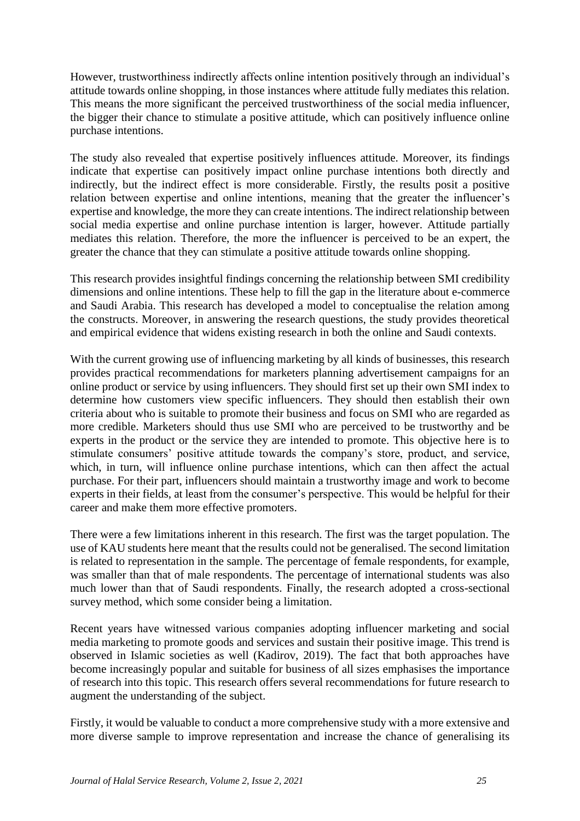However, trustworthiness indirectly affects online intention positively through an individual's attitude towards online shopping, in those instances where attitude fully mediates this relation. This means the more significant the perceived trustworthiness of the social media influencer, the bigger their chance to stimulate a positive attitude, which can positively influence online purchase intentions.

The study also revealed that expertise positively influences attitude. Moreover, its findings indicate that expertise can positively impact online purchase intentions both directly and indirectly, but the indirect effect is more considerable. Firstly, the results posit a positive relation between expertise and online intentions, meaning that the greater the influencer's expertise and knowledge, the more they can create intentions. The indirect relationship between social media expertise and online purchase intention is larger, however. Attitude partially mediates this relation. Therefore, the more the influencer is perceived to be an expert, the greater the chance that they can stimulate a positive attitude towards online shopping.

This research provides insightful findings concerning the relationship between SMI credibility dimensions and online intentions. These help to fill the gap in the literature about e-commerce and Saudi Arabia. This research has developed a model to conceptualise the relation among the constructs. Moreover, in answering the research questions, the study provides theoretical and empirical evidence that widens existing research in both the online and Saudi contexts.

With the current growing use of influencing marketing by all kinds of businesses, this research provides practical recommendations for marketers planning advertisement campaigns for an online product or service by using influencers. They should first set up their own SMI index to determine how customers view specific influencers. They should then establish their own criteria about who is suitable to promote their business and focus on SMI who are regarded as more credible. Marketers should thus use SMI who are perceived to be trustworthy and be experts in the product or the service they are intended to promote. This objective here is to stimulate consumers' positive attitude towards the company's store, product, and service, which, in turn, will influence online purchase intentions, which can then affect the actual purchase. For their part, influencers should maintain a trustworthy image and work to become experts in their fields, at least from the consumer's perspective. This would be helpful for their career and make them more effective promoters.

There were a few limitations inherent in this research. The first was the target population. The use of KAU students here meant that the results could not be generalised. The second limitation is related to representation in the sample. The percentage of female respondents, for example, was smaller than that of male respondents. The percentage of international students was also much lower than that of Saudi respondents. Finally, the research adopted a cross-sectional survey method, which some consider being a limitation.

Recent years have witnessed various companies adopting influencer marketing and social media marketing to promote goods and services and sustain their positive image. This trend is observed in Islamic societies as well (Kadirov, 2019). The fact that both approaches have become increasingly popular and suitable for business of all sizes emphasises the importance of research into this topic. This research offers several recommendations for future research to augment the understanding of the subject.

Firstly, it would be valuable to conduct a more comprehensive study with a more extensive and more diverse sample to improve representation and increase the chance of generalising its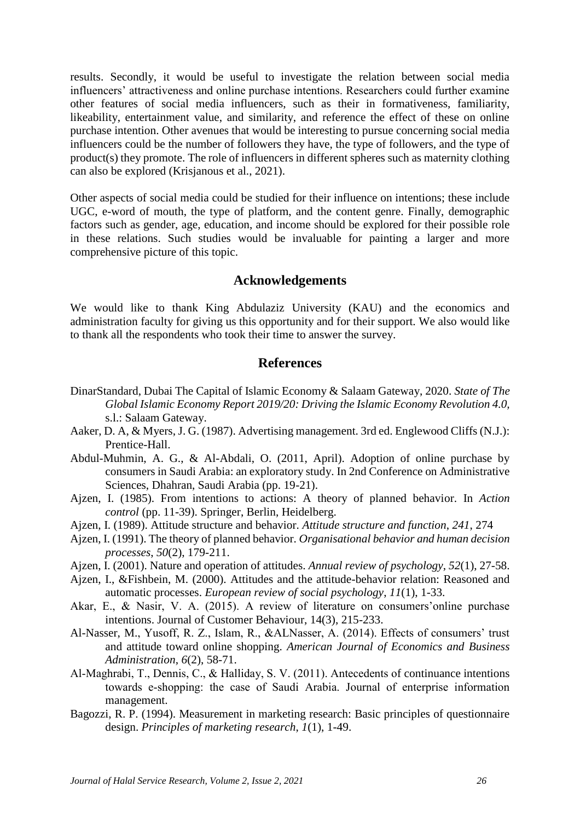results. Secondly, it would be useful to investigate the relation between social media influencers' attractiveness and online purchase intentions. Researchers could further examine other features of social media influencers, such as their in formativeness, familiarity, likeability, entertainment value, and similarity, and reference the effect of these on online purchase intention. Other avenues that would be interesting to pursue concerning social media influencers could be the number of followers they have, the type of followers, and the type of product(s) they promote. The role of influencers in different spheres such as maternity clothing can also be explored (Krisjanous et al., 2021).

Other aspects of social media could be studied for their influence on intentions; these include UGC, e-word of mouth, the type of platform, and the content genre. Finally, demographic factors such as gender, age, education, and income should be explored for their possible role in these relations. Such studies would be invaluable for painting a larger and more comprehensive picture of this topic.

#### **Acknowledgements**

We would like to thank King Abdulaziz University (KAU) and the economics and administration faculty for giving us this opportunity and for their support. We also would like to thank all the respondents who took their time to answer the survey.

#### **References**

- DinarStandard, Dubai The Capital of Islamic Economy & Salaam Gateway, 2020. *State of The Global Islamic Economy Report 2019/20: Driving the Islamic Economy Revolution 4.0,*  s.l.: Salaam Gateway.
- Aaker, D. A, & Myers, J. G. (1987). Advertising management. 3rd ed. Englewood Cliffs (N.J.): Prentice-Hall.
- Abdul-Muhmin, A. G., & Al-Abdali, O. (2011, April). Adoption of online purchase by consumers in Saudi Arabia: an exploratory study. In 2nd Conference on Administrative Sciences, Dhahran, Saudi Arabia (pp. 19-21).
- Ajzen, I. (1985). From intentions to actions: A theory of planned behavior. In *Action control* (pp. 11-39). Springer, Berlin, Heidelberg.
- Ajzen, I. (1989). Attitude structure and behavior. *Attitude structure and function*, *241*, 274
- Ajzen, I. (1991). The theory of planned behavior. *Organisational behavior and human decision processes*, *50*(2), 179-211.
- Ajzen, I. (2001). Nature and operation of attitudes. *Annual review of psychology*, *52*(1), 27-58.
- Ajzen, I., &Fishbein, M. (2000). Attitudes and the attitude-behavior relation: Reasoned and automatic processes. *European review of social psychology*, *11*(1), 1-33.
- Akar, E., & Nasir, V. A. (2015). A review of literature on consumers'online purchase intentions. Journal of Customer Behaviour, 14(3), 215-233.
- Al-Nasser, M., Yusoff, R. Z., Islam, R., &ALNasser, A. (2014). Effects of consumers' trust and attitude toward online shopping. *American Journal of Economics and Business Administration*, *6*(2), 58-71.
- Al‐Maghrabi, T., Dennis, C., & Halliday, S. V. (2011). Antecedents of continuance intentions towards e‐shopping: the case of Saudi Arabia. Journal of enterprise information management.
- Bagozzi, R. P. (1994). Measurement in marketing research: Basic principles of questionnaire design. *Principles of marketing research*, *1*(1), 1-49.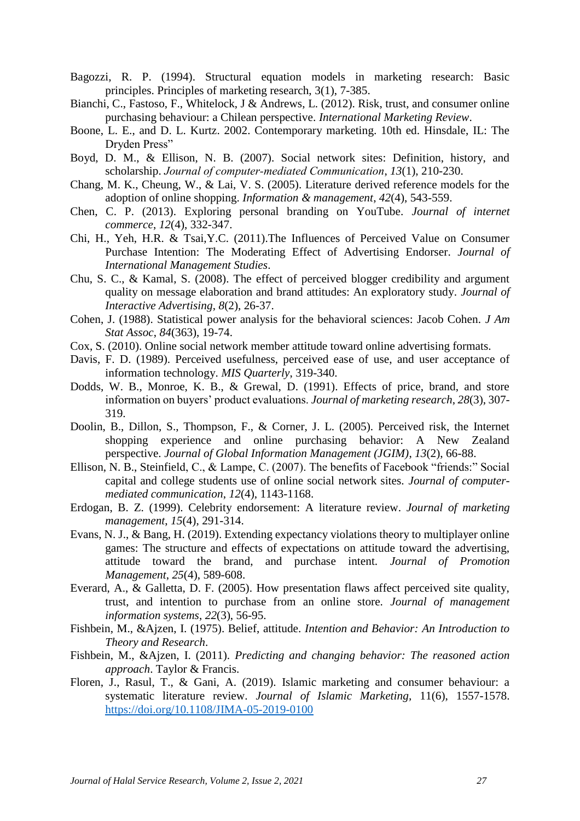- Bagozzi, R. P. (1994). Structural equation models in marketing research: Basic principles. Principles of marketing research, 3(1), 7-385.
- Bianchi, C., Fastoso, F., Whitelock, J & Andrews, L. (2012). Risk, trust, and consumer online purchasing behaviour: a Chilean perspective. *International Marketing Review*.
- Boone, L. E., and D. L. Kurtz. 2002. Contemporary marketing. 10th ed. Hinsdale, IL: The Dryden Press"
- Boyd, D. M., & Ellison, N. B. (2007). Social network sites: Definition, history, and scholarship. *Journal of computer‐mediated Communication*, *13*(1), 210-230.
- Chang, M. K., Cheung, W., & Lai, V. S. (2005). Literature derived reference models for the adoption of online shopping. *Information & management*, *42*(4), 543-559.
- Chen, C. P. (2013). Exploring personal branding on YouTube. *Journal of internet commerce*, *12*(4), 332-347.
- Chi, H., Yeh, H.R. & Tsai,Y.C. (2011).The Influences of Perceived Value on Consumer Purchase Intention: The Moderating Effect of Advertising Endorser. *Journal of International Management Studies*.
- Chu, S. C., & Kamal, S. (2008). The effect of perceived blogger credibility and argument quality on message elaboration and brand attitudes: An exploratory study. *Journal of Interactive Advertising*, *8*(2), 26-37.
- Cohen, J. (1988). Statistical power analysis for the behavioral sciences: Jacob Cohen. *J Am Stat Assoc*, *84*(363), 19-74.
- Cox, S. (2010). Online social network member attitude toward online advertising formats.
- Davis, F. D. (1989). Perceived usefulness, perceived ease of use, and user acceptance of information technology. *MIS Quarterly*, 319-340.
- Dodds, W. B., Monroe, K. B., & Grewal, D. (1991). Effects of price, brand, and store information on buyers' product evaluations. *Journal of marketing research*, *28*(3), 307- 319.
- Doolin, B., Dillon, S., Thompson, F., & Corner, J. L. (2005). Perceived risk, the Internet shopping experience and online purchasing behavior: A New Zealand perspective. *Journal of Global Information Management (JGIM)*, *13*(2), 66-88.
- Ellison, N. B., Steinfield, C., & Lampe, C. (2007). The benefits of Facebook "friends:" Social capital and college students use of online social network sites. *Journal of computermediated communication*, *12*(4), 1143-1168.
- Erdogan, B. Z. (1999). Celebrity endorsement: A literature review. *Journal of marketing management*, *15*(4), 291-314.
- Evans, N. J., & Bang, H. (2019). Extending expectancy violations theory to multiplayer online games: The structure and effects of expectations on attitude toward the advertising, attitude toward the brand, and purchase intent. *Journal of Promotion Management*, *25*(4), 589-608.
- Everard, A., & Galletta, D. F. (2005). How presentation flaws affect perceived site quality, trust, and intention to purchase from an online store. *Journal of management information systems*, *22*(3), 56-95.
- Fishbein, M., &Ajzen, I. (1975). Belief, attitude. *Intention and Behavior: An Introduction to Theory and Research*.
- Fishbein, M., &Ajzen, I. (2011). *Predicting and changing behavior: The reasoned action approach*. Taylor & Francis.
- Floren, J., Rasul, T., & Gani, A. (2019). Islamic marketing and consumer behaviour: a systematic literature review. *Journal of Islamic Marketing,* 11(6), 1557-1578. https://doi.org/10.1108/JIMA-05-2019-0100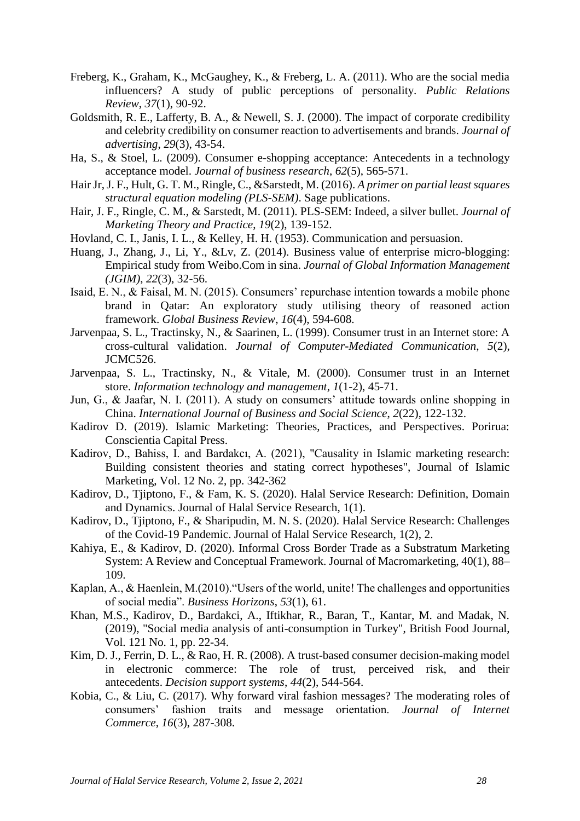- Freberg, K., Graham, K., McGaughey, K., & Freberg, L. A. (2011). Who are the social media influencers? A study of public perceptions of personality. *Public Relations Review*, *37*(1), 90-92.
- Goldsmith, R. E., Lafferty, B. A., & Newell, S. J. (2000). The impact of corporate credibility and celebrity credibility on consumer reaction to advertisements and brands. *Journal of advertising*, *29*(3), 43-54.
- Ha, S., & Stoel, L. (2009). Consumer e-shopping acceptance: Antecedents in a technology acceptance model. *Journal of business research*, *62*(5), 565-571.
- Hair Jr, J. F., Hult, G. T. M., Ringle, C., &Sarstedt, M. (2016). *A primer on partial least squares structural equation modeling (PLS-SEM)*. Sage publications.
- Hair, J. F., Ringle, C. M., & Sarstedt, M. (2011). PLS-SEM: Indeed, a silver bullet. *Journal of Marketing Theory and Practice*, *19*(2), 139-152.
- Hovland, C. I., Janis, I. L., & Kelley, H. H. (1953). Communication and persuasion.
- Huang, J., Zhang, J., Li, Y., &Lv, Z. (2014). Business value of enterprise micro-blogging: Empirical study from Weibo.Com in sina. *Journal of Global Information Management (JGIM)*, *22*(3), 32-56.
- Isaid, E. N., & Faisal, M. N. (2015). Consumers' repurchase intention towards a mobile phone brand in Qatar: An exploratory study utilising theory of reasoned action framework. *Global Business Review*, *16*(4), 594-608.
- Jarvenpaa, S. L., Tractinsky, N., & Saarinen, L. (1999). Consumer trust in an Internet store: A cross-cultural validation. *Journal of Computer-Mediated Communication*, *5*(2), JCMC526.
- Jarvenpaa, S. L., Tractinsky, N., & Vitale, M. (2000). Consumer trust in an Internet store. *Information technology and management*, *1*(1-2), 45-71.
- Jun, G., & Jaafar, N. I. (2011). A study on consumers' attitude towards online shopping in China. *International Journal of Business and Social Science*, *2*(22), 122-132.
- Kadirov D. (2019). Islamic Marketing: Theories, Practices, and Perspectives. Porirua: Conscientia Capital Press.
- Kadirov, D., Bahiss, I. and Bardakcı, A. (2021), "Causality in Islamic marketing research: Building consistent theories and stating correct hypotheses", Journal of Islamic Marketing, Vol. 12 No. 2, pp. 342-362
- Kadirov, D., Tjiptono, F., & Fam, K. S. (2020). Halal Service Research: Definition, Domain and Dynamics. Journal of Halal Service Research, 1(1).
- Kadirov, D., Tjiptono, F., & Sharipudin, M. N. S. (2020). Halal Service Research: Challenges of the Covid-19 Pandemic. Journal of Halal Service Research, 1(2), 2.
- Kahiya, E., & Kadirov, D. (2020). Informal Cross Border Trade as a Substratum Marketing System: A Review and Conceptual Framework. Journal of Macromarketing, 40(1), 88– 109.
- Kaplan, A., & Haenlein, M.(2010)."Users of the world, unite! The challenges and opportunities of social media". *Business Horizons*, *53*(1), 61.
- Khan, M.S., Kadirov, D., Bardakci, A., Iftikhar, R., Baran, T., Kantar, M. and Madak, N. (2019), "Social media analysis of anti-consumption in Turkey", British Food Journal, Vol. 121 No. 1, pp. 22-34.
- Kim, D. J., Ferrin, D. L., & Rao, H. R. (2008). A trust-based consumer decision-making model in electronic commerce: The role of trust, perceived risk, and their antecedents. *Decision support systems*, *44*(2), 544-564.
- Kobia, C., & Liu, C. (2017). Why forward viral fashion messages? The moderating roles of consumers' fashion traits and message orientation. *Journal of Internet Commerce*, *16*(3), 287-308.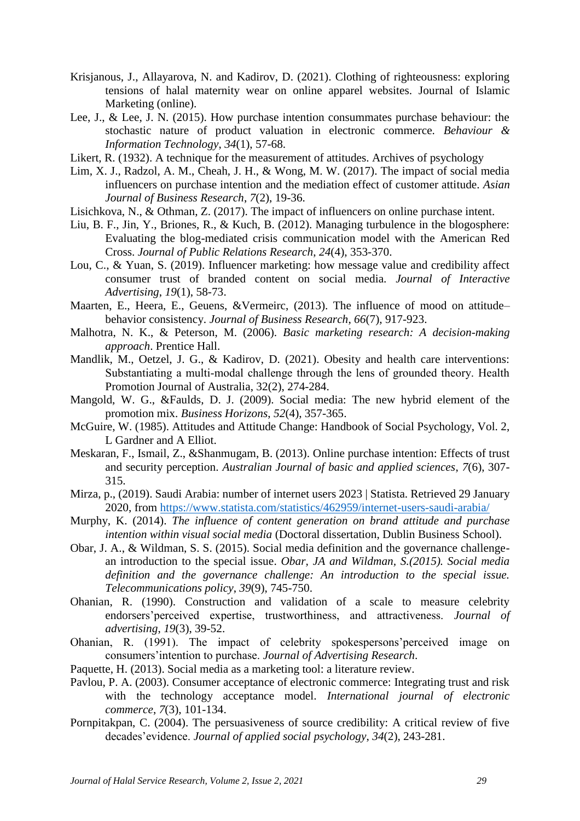- Krisjanous, J., Allayarova, N. and Kadirov, D. (2021). Clothing of righteousness: exploring tensions of halal maternity wear on online apparel websites. Journal of Islamic Marketing (online).
- Lee, J., & Lee, J. N. (2015). How purchase intention consummates purchase behaviour: the stochastic nature of product valuation in electronic commerce. *Behaviour & Information Technology*, *34*(1), 57-68.

Likert, R. (1932). A technique for the measurement of attitudes. Archives of psychology

- Lim, X. J., Radzol, A. M., Cheah, J. H., & Wong, M. W. (2017). The impact of social media influencers on purchase intention and the mediation effect of customer attitude. *Asian Journal of Business Research*, *7*(2), 19-36.
- Lisichkova, N., & Othman, Z. (2017). The impact of influencers on online purchase intent.
- Liu, B. F., Jin, Y., Briones, R., & Kuch, B. (2012). Managing turbulence in the blogosphere: Evaluating the blog-mediated crisis communication model with the American Red Cross. *Journal of Public Relations Research*, *24*(4), 353-370.
- Lou, C., & Yuan, S. (2019). Influencer marketing: how message value and credibility affect consumer trust of branded content on social media. *Journal of Interactive Advertising*, *19*(1), 58-73.
- Maarten, E., Heera, E., Geuens, &Vermeirc, (2013). The influence of mood on attitude– behavior consistency. *Journal of Business Research*, *66*(7), 917-923.
- Malhotra, N. K., & Peterson, M. (2006). *Basic marketing research: A decision-making approach*. Prentice Hall.
- Mandlik, M., Oetzel, J. G., & Kadirov, D. (2021). Obesity and health care interventions: Substantiating a multi-modal challenge through the lens of grounded theory. Health Promotion Journal of Australia, 32(2), 274-284.
- Mangold, W. G., &Faulds, D. J. (2009). Social media: The new hybrid element of the promotion mix. *Business Horizons*, *52*(4), 357-365.
- McGuire, W. (1985). Attitudes and Attitude Change: Handbook of Social Psychology, Vol. 2, L Gardner and A Elliot.
- Meskaran, F., Ismail, Z., &Shanmugam, B. (2013). Online purchase intention: Effects of trust and security perception. *Australian Journal of basic and applied sciences*, *7*(6), 307- 315.
- Mirza, p., (2019). Saudi Arabia: number of internet users 2023 | Statista. Retrieved 29 January 2020, from https://www.statista.com/statistics/462959/internet-users-saudi-arabia/
- Murphy, K. (2014). *The influence of content generation on brand attitude and purchase intention within visual social media* (Doctoral dissertation, Dublin Business School).
- Obar, J. A., & Wildman, S. S. (2015). Social media definition and the governance challengean introduction to the special issue. *Obar, JA and Wildman, S.(2015). Social media definition and the governance challenge: An introduction to the special issue. Telecommunications policy*, *39*(9), 745-750.
- Ohanian, R. (1990). Construction and validation of a scale to measure celebrity endorsers'perceived expertise, trustworthiness, and attractiveness. *Journal of advertising*, *19*(3), 39-52.
- Ohanian, R. (1991). The impact of celebrity spokespersons'perceived image on consumers'intention to purchase. *Journal of Advertising Research*.
- Paquette, H. (2013). Social media as a marketing tool: a literature review.
- Pavlou, P. A. (2003). Consumer acceptance of electronic commerce: Integrating trust and risk with the technology acceptance model. *International journal of electronic commerce*, *7*(3), 101-134.
- Pornpitakpan, C. (2004). The persuasiveness of source credibility: A critical review of five decades'evidence. *Journal of applied social psychology*, *34*(2), 243-281.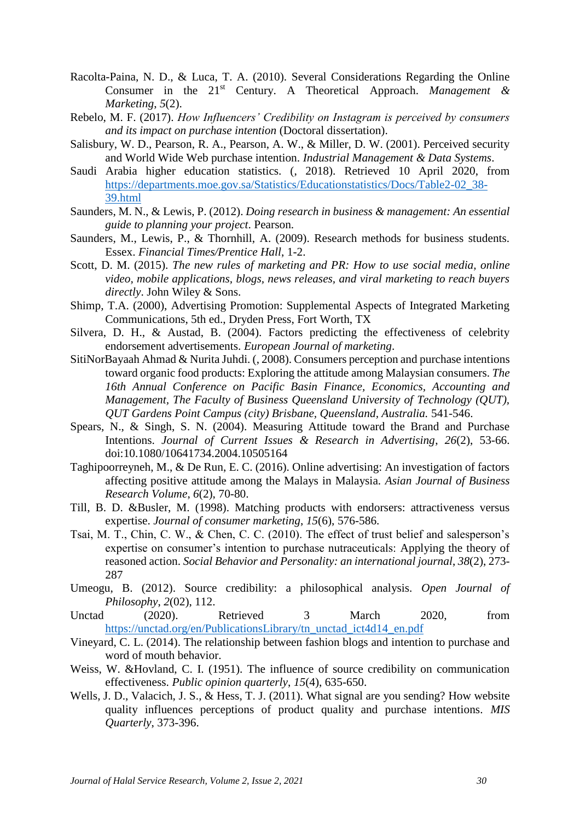- Racolta-Paina, N. D., & Luca, T. A. (2010). Several Considerations Regarding the Online Consumer in the 21<sup>st</sup> Century. A Theoretical Approach. *Management* & *Marketing*, *5*(2).
- Rebelo, M. F. (2017). *How Influencers' Credibility on Instagram is perceived by consumers and its impact on purchase intention* (Doctoral dissertation).
- Salisbury, W. D., Pearson, R. A., Pearson, A. W., & Miller, D. W. (2001). Perceived security and World Wide Web purchase intention. *Industrial Management & Data Systems*.
- Saudi Arabia higher education statistics. (, 2018). Retrieved 10 April 2020, from https://departments.moe.gov.sa/Statistics/Educationstatistics/Docs/Table2-02\_38- 39.html
- Saunders, M. N., & Lewis, P. (2012). *Doing research in business & management: An essential guide to planning your project*. Pearson.
- Saunders, M., Lewis, P., & Thornhill, A. (2009). Research methods for business students. Essex. *Financial Times/Prentice Hall*, 1-2.
- Scott, D. M. (2015). *The new rules of marketing and PR: How to use social media, online video, mobile applications, blogs, news releases, and viral marketing to reach buyers directly*. John Wiley & Sons.
- Shimp, T.A. (2000), Advertising Promotion: Supplemental Aspects of Integrated Marketing Communications, 5th ed., Dryden Press, Fort Worth, TX
- Silvera, D. H., & Austad, B. (2004). Factors predicting the effectiveness of celebrity endorsement advertisements. *European Journal of marketing*.
- SitiNorBayaah Ahmad & Nurita Juhdi. (, 2008). Consumers perception and purchase intentions toward organic food products: Exploring the attitude among Malaysian consumers. *The 16th Annual Conference on Pacific Basin Finance, Economics, Accounting and Management, The Faculty of Business Queensland University of Technology (QUT), QUT Gardens Point Campus (city) Brisbane, Queensland, Australia.* 541-546.
- Spears, N., & Singh, S. N. (2004). Measuring Attitude toward the Brand and Purchase Intentions. *Journal of Current Issues & Research in Advertising*, *26*(2), 53-66. doi:10.1080/10641734.2004.10505164
- Taghipoorreyneh, M., & De Run, E. C. (2016). Online advertising: An investigation of factors affecting positive attitude among the Malays in Malaysia. *Asian Journal of Business Research Volume*, *6*(2), 70-80.
- Till, B. D. &Busler, M. (1998). Matching products with endorsers: attractiveness versus expertise. *Journal of consumer marketing*, *15*(6), 576-586.
- Tsai, M. T., Chin, C. W., & Chen, C. C. (2010). The effect of trust belief and salesperson's expertise on consumer's intention to purchase nutraceuticals: Applying the theory of reasoned action. *Social Behavior and Personality: an international journal*, *38*(2), 273- 287
- Umeogu, B. (2012). Source credibility: a philosophical analysis. *Open Journal of Philosophy*, *2*(02), 112.
- Unctad (2020). Retrieved 3 March 2020, from https://unctad.org/en/PublicationsLibrary/tn\_unctad\_ict4d14\_en.pdf
- Vineyard, C. L. (2014). The relationship between fashion blogs and intention to purchase and word of mouth behavior.
- Weiss, W. &Hovland, C. I. (1951). The influence of source credibility on communication effectiveness. *Public opinion quarterly*, *15*(4), 635-650.
- Wells, J. D., Valacich, J. S., & Hess, T. J. (2011). What signal are you sending? How website quality influences perceptions of product quality and purchase intentions. *MIS Quarterly*, 373-396.